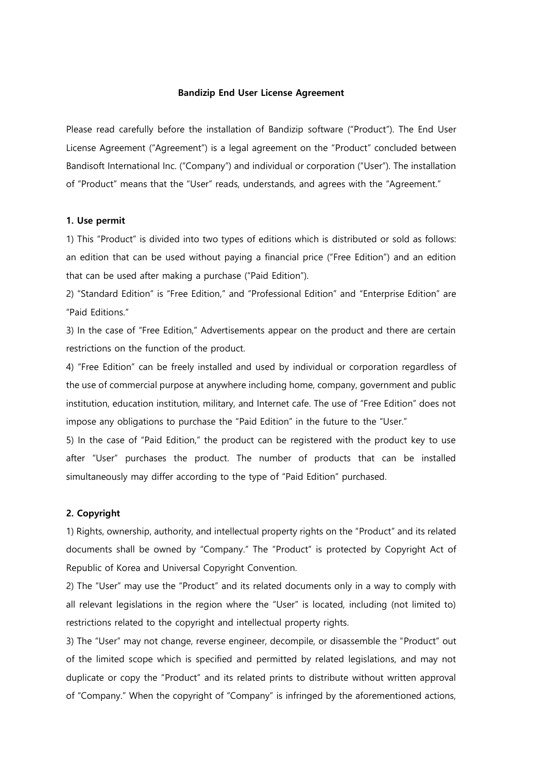#### **Bandizip End User License Agreement**

Please read carefully before the installation of Bandizip software ("Product"). The End User License Agreement ("Agreement") is a legal agreement on the "Product" concluded between Bandisoft International Inc. ("Company") and individual or corporation ("User"). The installation of "Product" means that the "User" reads, understands, and agrees with the "Agreement."

#### **1. Use permit**

1) This "Product" is divided into two types of editions which is distributed or sold as follows: an edition that can be used without paying a financial price ("Free Edition") and an edition that can be used after making a purchase ("Paid Edition").

2) "Standard Edition" is "Free Edition," and "Professional Edition" and "Enterprise Edition" are "Paid Editions."

3) In the case of "Free Edition," Advertisements appear on the product and there are certain restrictions on the function of the product.

4) "Free Edition" can be freely installed and used by individual or corporation regardless of the use of commercial purpose at anywhere including home, company, government and public institution, education institution, military, and Internet cafe. The use of "Free Edition" does not impose any obligations to purchase the "Paid Edition" in the future to the "User."

5) In the case of "Paid Edition," the product can be registered with the product key to use after "User" purchases the product. The number of products that can be installed simultaneously may differ according to the type of "Paid Edition" purchased.

#### **2. Copyright**

1) Rights, ownership, authority, and intellectual property rights on the "Product" and its related documents shall be owned by "Company." The "Product" is protected by Copyright Act of Republic of Korea and Universal Copyright Convention.

2) The "User" may use the "Product" and its related documents only in a way to comply with all relevant legislations in the region where the "User" is located, including (not limited to) restrictions related to the copyright and intellectual property rights.

3) The "User" may not change, reverse engineer, decompile, or disassemble the "Product" out of the limited scope which is specified and permitted by related legislations, and may not duplicate or copy the "Product" and its related prints to distribute without written approval of "Company." When the copyright of "Company" is infringed by the aforementioned actions,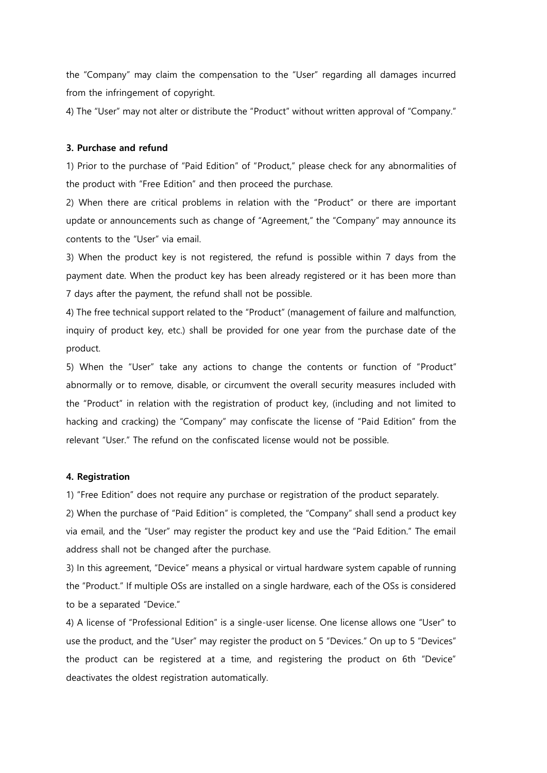the "Company" may claim the compensation to the "User" regarding all damages incurred from the infringement of copyright.

4) The "User" may not alter or distribute the "Product" without written approval of "Company."

## **3. Purchase and refund**

1) Prior to the purchase of "Paid Edition" of "Product," please check for any abnormalities of the product with "Free Edition" and then proceed the purchase.

2) When there are critical problems in relation with the "Product" or there are important update or announcements such as change of "Agreement," the "Company" may announce its contents to the "User" via email.

3) When the product key is not registered, the refund is possible within 7 days from the payment date. When the product key has been already registered or it has been more than 7 days after the payment, the refund shall not be possible.

4) The free technical support related to the "Product" (management of failure and malfunction, inquiry of product key, etc.) shall be provided for one year from the purchase date of the product.

5) When the "User" take any actions to change the contents or function of "Product" abnormally or to remove, disable, or circumvent the overall security measures included with the "Product" in relation with the registration of product key, (including and not limited to hacking and cracking) the "Company" may confiscate the license of "Paid Edition" from the relevant "User." The refund on the confiscated license would not be possible.

#### **4. Registration**

1) "Free Edition" does not require any purchase or registration of the product separately.

2) When the purchase of "Paid Edition" is completed, the "Company" shall send a product key via email, and the "User" may register the product key and use the "Paid Edition." The email address shall not be changed after the purchase.

3) In this agreement, "Device" means a physical or virtual hardware system capable of running the "Product." If multiple OSs are installed on a single hardware, each of the OSs is considered to be a separated "Device."

4) A license of "Professional Edition" is a single-user license. One license allows one "User" to use the product, and the "User" may register the product on 5 "Devices." On up to 5 "Devices" the product can be registered at a time, and registering the product on 6th "Device" deactivates the oldest registration automatically.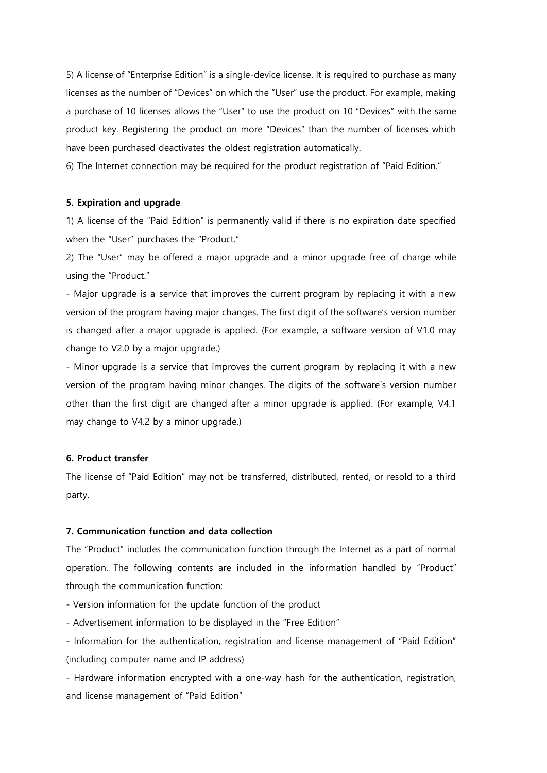5) A license of "Enterprise Edition" is a single-device license. It is required to purchase as many licenses as the number of "Devices" on which the "User" use the product. For example, making a purchase of 10 licenses allows the "User" to use the product on 10 "Devices" with the same product key. Registering the product on more "Devices" than the number of licenses which have been purchased deactivates the oldest registration automatically.

6) The Internet connection may be required for the product registration of "Paid Edition."

#### **5. Expiration and upgrade**

1) A license of the "Paid Edition" is permanently valid if there is no expiration date specified when the "User" purchases the "Product."

2) The "User" may be offered a major upgrade and a minor upgrade free of charge while using the "Product."

- Major upgrade is a service that improves the current program by replacing it with a new version of the program having major changes. The first digit of the software's version number is changed after a major upgrade is applied. (For example, a software version of V1.0 may change to V2.0 by a major upgrade.)

- Minor upgrade is a service that improves the current program by replacing it with a new version of the program having minor changes. The digits of the software's version number other than the first digit are changed after a minor upgrade is applied. (For example, V4.1 may change to V4.2 by a minor upgrade.)

#### **6. Product transfer**

The license of "Paid Edition" may not be transferred, distributed, rented, or resold to a third party.

## **7. Communication function and data collection**

The "Product" includes the communication function through the Internet as a part of normal operation. The following contents are included in the information handled by "Product" through the communication function:

- Version information for the update function of the product

- Advertisement information to be displayed in the "Free Edition"

- Information for the authentication, registration and license management of "Paid Edition" (including computer name and IP address)

- Hardware information encrypted with a one-way hash for the authentication, registration, and license management of "Paid Edition"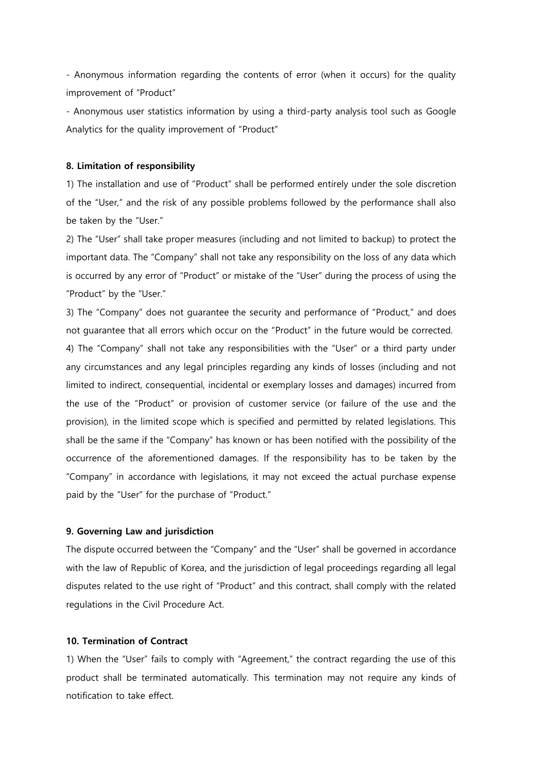- Anonymous information regarding the contents of error (when it occurs) for the quality improvement of "Product"

- Anonymous user statistics information by using a third-party analysis tool such as Google Analytics for the quality improvement of "Product"

## **8. Limitation of responsibility**

1) The installation and use of "Product" shall be performed entirely under the sole discretion of the "User," and the risk of any possible problems followed by the performance shall also be taken by the "User."

2) The "User" shall take proper measures (including and not limited to backup) to protect the important data. The "Company" shall not take any responsibility on the loss of any data which is occurred by any error of "Product" or mistake of the "User" during the process of using the "Product" by the "User."

3) The "Company" does not guarantee the security and performance of "Product," and does not guarantee that all errors which occur on the "Product" in the future would be corrected. 4) The "Company" shall not take any responsibilities with the "User" or a third party under any circumstances and any legal principles regarding any kinds of losses (including and not limited to indirect, consequential, incidental or exemplary losses and damages) incurred from the use of the "Product" or provision of customer service (or failure of the use and the provision), in the limited scope which is specified and permitted by related legislations. This shall be the same if the "Company" has known or has been notified with the possibility of the occurrence of the aforementioned damages. If the responsibility has to be taken by the "Company" in accordance with legislations, it may not exceed the actual purchase expense paid by the "User" for the purchase of "Product."

### **9. Governing Law and jurisdiction**

The dispute occurred between the "Company" and the "User" shall be governed in accordance with the law of Republic of Korea, and the jurisdiction of legal proceedings regarding all legal disputes related to the use right of "Product" and this contract, shall comply with the related regulations in the Civil Procedure Act.

## **10. Termination of Contract**

1) When the "User" fails to comply with "Agreement," the contract regarding the use of this product shall be terminated automatically. This termination may not require any kinds of notification to take effect.